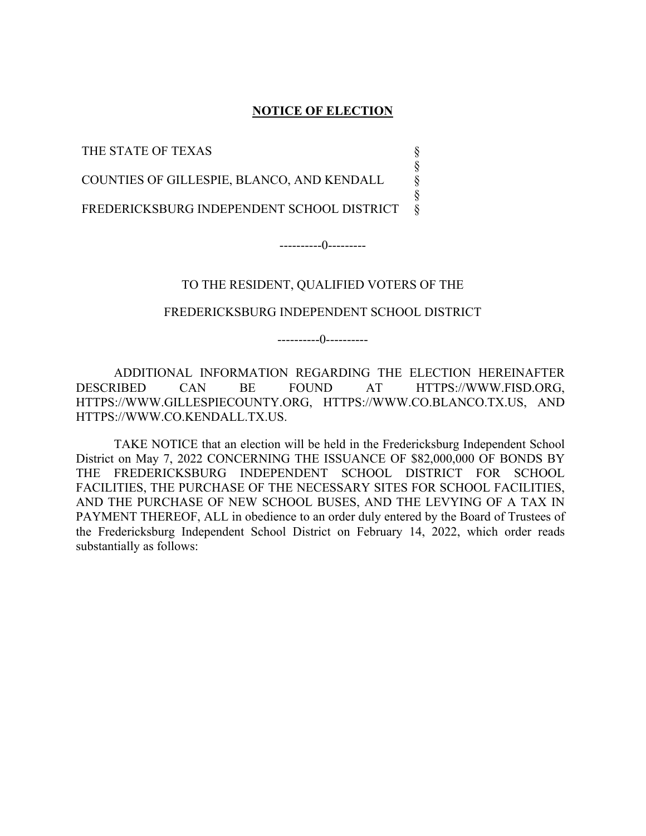#### **NOTICE OF ELECTION**

§ § § §

THE STATE OF TEXAS

COUNTIES OF GILLESPIE, BLANCO, AND KENDALL

FREDERICKSBURG INDEPENDENT SCHOOL DISTRICT §

----------0---------

### TO THE RESIDENT, QUALIFIED VOTERS OF THE

#### FREDERICKSBURG INDEPENDENT SCHOOL DISTRICT

----------0----------

 ADDITIONAL INFORMATION REGARDING THE ELECTION HEREINAFTER DESCRIBED CAN BE FOUND AT HTTPS://WWW.FISD.ORG, HTTPS://WWW.GILLESPIECOUNTY.ORG, HTTPS://WWW.CO.BLANCO.TX.US, AND HTTPS://WWW.CO.KENDALL.TX.US.

 TAKE NOTICE that an election will be held in the Fredericksburg Independent School District on May 7, 2022 CONCERNING THE ISSUANCE OF \$82,000,000 OF BONDS BY THE FREDERICKSBURG INDEPENDENT SCHOOL DISTRICT FOR SCHOOL FACILITIES, THE PURCHASE OF THE NECESSARY SITES FOR SCHOOL FACILITIES, AND THE PURCHASE OF NEW SCHOOL BUSES, AND THE LEVYING OF A TAX IN PAYMENT THEREOF, ALL in obedience to an order duly entered by the Board of Trustees of the Fredericksburg Independent School District on February 14, 2022, which order reads substantially as follows: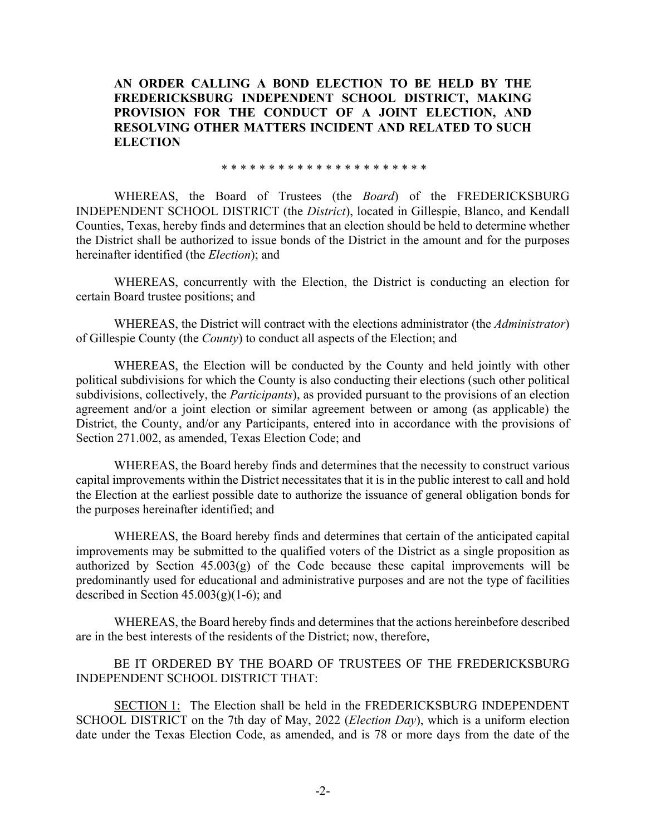**AN ORDER CALLING A BOND ELECTION TO BE HELD BY THE FREDERICKSBURG INDEPENDENT SCHOOL DISTRICT, MAKING PROVISION FOR THE CONDUCT OF A JOINT ELECTION, AND RESOLVING OTHER MATTERS INCIDENT AND RELATED TO SUCH ELECTION** 

\* \* \* \* \* \* \* \* \* \* \* \* \* \* \* \* \* \* \* \* \* \*

WHEREAS, the Board of Trustees (the *Board*) of the FREDERICKSBURG INDEPENDENT SCHOOL DISTRICT (the *District*), located in Gillespie, Blanco, and Kendall Counties, Texas, hereby finds and determines that an election should be held to determine whether the District shall be authorized to issue bonds of the District in the amount and for the purposes hereinafter identified (the *Election*); and

WHEREAS, concurrently with the Election, the District is conducting an election for certain Board trustee positions; and

WHEREAS, the District will contract with the elections administrator (the *Administrator*) of Gillespie County (the *County*) to conduct all aspects of the Election; and

WHEREAS, the Election will be conducted by the County and held jointly with other political subdivisions for which the County is also conducting their elections (such other political subdivisions, collectively, the *Participants*), as provided pursuant to the provisions of an election agreement and/or a joint election or similar agreement between or among (as applicable) the District, the County, and/or any Participants, entered into in accordance with the provisions of Section 271.002, as amended, Texas Election Code; and

WHEREAS, the Board hereby finds and determines that the necessity to construct various capital improvements within the District necessitates that it is in the public interest to call and hold the Election at the earliest possible date to authorize the issuance of general obligation bonds for the purposes hereinafter identified; and

WHEREAS, the Board hereby finds and determines that certain of the anticipated capital improvements may be submitted to the qualified voters of the District as a single proposition as authorized by Section  $45.003(g)$  of the Code because these capital improvements will be predominantly used for educational and administrative purposes and are not the type of facilities described in Section  $45.003(g)(1-6)$ ; and

WHEREAS, the Board hereby finds and determines that the actions hereinbefore described are in the best interests of the residents of the District; now, therefore,

BE IT ORDERED BY THE BOARD OF TRUSTEES OF THE FREDERICKSBURG INDEPENDENT SCHOOL DISTRICT THAT:

SECTION 1: The Election shall be held in the FREDERICKSBURG INDEPENDENT SCHOOL DISTRICT on the 7th day of May, 2022 (*Election Day*), which is a uniform election date under the Texas Election Code, as amended, and is 78 or more days from the date of the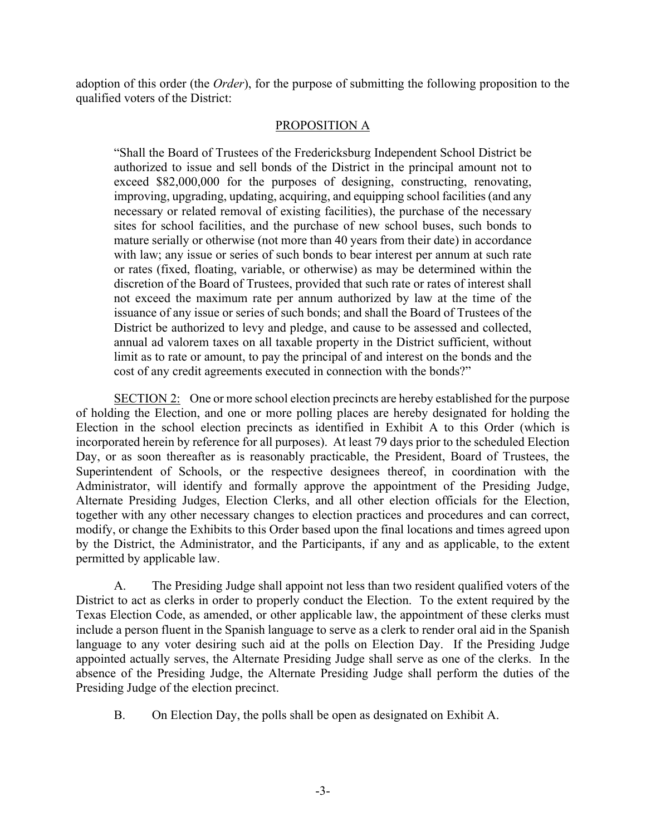adoption of this order (the *Order*), for the purpose of submitting the following proposition to the qualified voters of the District:

## PROPOSITION A

"Shall the Board of Trustees of the Fredericksburg Independent School District be authorized to issue and sell bonds of the District in the principal amount not to exceed \$82,000,000 for the purposes of designing, constructing, renovating, improving, upgrading, updating, acquiring, and equipping school facilities (and any necessary or related removal of existing facilities), the purchase of the necessary sites for school facilities, and the purchase of new school buses, such bonds to mature serially or otherwise (not more than 40 years from their date) in accordance with law; any issue or series of such bonds to bear interest per annum at such rate or rates (fixed, floating, variable, or otherwise) as may be determined within the discretion of the Board of Trustees, provided that such rate or rates of interest shall not exceed the maximum rate per annum authorized by law at the time of the issuance of any issue or series of such bonds; and shall the Board of Trustees of the District be authorized to levy and pledge, and cause to be assessed and collected, annual ad valorem taxes on all taxable property in the District sufficient, without limit as to rate or amount, to pay the principal of and interest on the bonds and the cost of any credit agreements executed in connection with the bonds?"

SECTION 2: One or more school election precincts are hereby established for the purpose of holding the Election, and one or more polling places are hereby designated for holding the Election in the school election precincts as identified in Exhibit A to this Order (which is incorporated herein by reference for all purposes). At least 79 days prior to the scheduled Election Day, or as soon thereafter as is reasonably practicable, the President, Board of Trustees, the Superintendent of Schools, or the respective designees thereof, in coordination with the Administrator, will identify and formally approve the appointment of the Presiding Judge, Alternate Presiding Judges, Election Clerks, and all other election officials for the Election, together with any other necessary changes to election practices and procedures and can correct, modify, or change the Exhibits to this Order based upon the final locations and times agreed upon by the District, the Administrator, and the Participants, if any and as applicable, to the extent permitted by applicable law.

A. The Presiding Judge shall appoint not less than two resident qualified voters of the District to act as clerks in order to properly conduct the Election. To the extent required by the Texas Election Code, as amended, or other applicable law, the appointment of these clerks must include a person fluent in the Spanish language to serve as a clerk to render oral aid in the Spanish language to any voter desiring such aid at the polls on Election Day. If the Presiding Judge appointed actually serves, the Alternate Presiding Judge shall serve as one of the clerks. In the absence of the Presiding Judge, the Alternate Presiding Judge shall perform the duties of the Presiding Judge of the election precinct.

B. On Election Day, the polls shall be open as designated on Exhibit A.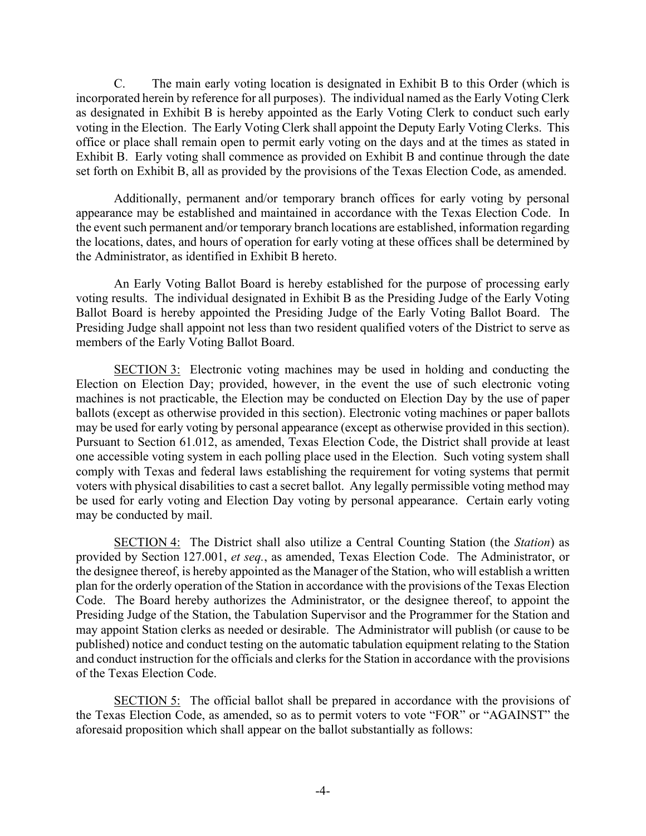C. The main early voting location is designated in Exhibit B to this Order (which is incorporated herein by reference for all purposes). The individual named as the Early Voting Clerk as designated in Exhibit B is hereby appointed as the Early Voting Clerk to conduct such early voting in the Election. The Early Voting Clerk shall appoint the Deputy Early Voting Clerks. This office or place shall remain open to permit early voting on the days and at the times as stated in Exhibit B. Early voting shall commence as provided on Exhibit B and continue through the date set forth on Exhibit B, all as provided by the provisions of the Texas Election Code, as amended.

Additionally, permanent and/or temporary branch offices for early voting by personal appearance may be established and maintained in accordance with the Texas Election Code. In the event such permanent and/or temporary branch locations are established, information regarding the locations, dates, and hours of operation for early voting at these offices shall be determined by the Administrator, as identified in Exhibit B hereto.

An Early Voting Ballot Board is hereby established for the purpose of processing early voting results. The individual designated in Exhibit B as the Presiding Judge of the Early Voting Ballot Board is hereby appointed the Presiding Judge of the Early Voting Ballot Board. The Presiding Judge shall appoint not less than two resident qualified voters of the District to serve as members of the Early Voting Ballot Board.

SECTION 3: Electronic voting machines may be used in holding and conducting the Election on Election Day; provided, however, in the event the use of such electronic voting machines is not practicable, the Election may be conducted on Election Day by the use of paper ballots (except as otherwise provided in this section). Electronic voting machines or paper ballots may be used for early voting by personal appearance (except as otherwise provided in this section). Pursuant to Section 61.012, as amended, Texas Election Code, the District shall provide at least one accessible voting system in each polling place used in the Election. Such voting system shall comply with Texas and federal laws establishing the requirement for voting systems that permit voters with physical disabilities to cast a secret ballot. Any legally permissible voting method may be used for early voting and Election Day voting by personal appearance. Certain early voting may be conducted by mail.

SECTION 4: The District shall also utilize a Central Counting Station (the *Station*) as provided by Section 127.001, *et seq.*, as amended, Texas Election Code. The Administrator, or the designee thereof, is hereby appointed as the Manager of the Station, who will establish a written plan for the orderly operation of the Station in accordance with the provisions of the Texas Election Code. The Board hereby authorizes the Administrator, or the designee thereof, to appoint the Presiding Judge of the Station, the Tabulation Supervisor and the Programmer for the Station and may appoint Station clerks as needed or desirable. The Administrator will publish (or cause to be published) notice and conduct testing on the automatic tabulation equipment relating to the Station and conduct instruction for the officials and clerks for the Station in accordance with the provisions of the Texas Election Code.

SECTION 5: The official ballot shall be prepared in accordance with the provisions of the Texas Election Code, as amended, so as to permit voters to vote "FOR" or "AGAINST" the aforesaid proposition which shall appear on the ballot substantially as follows: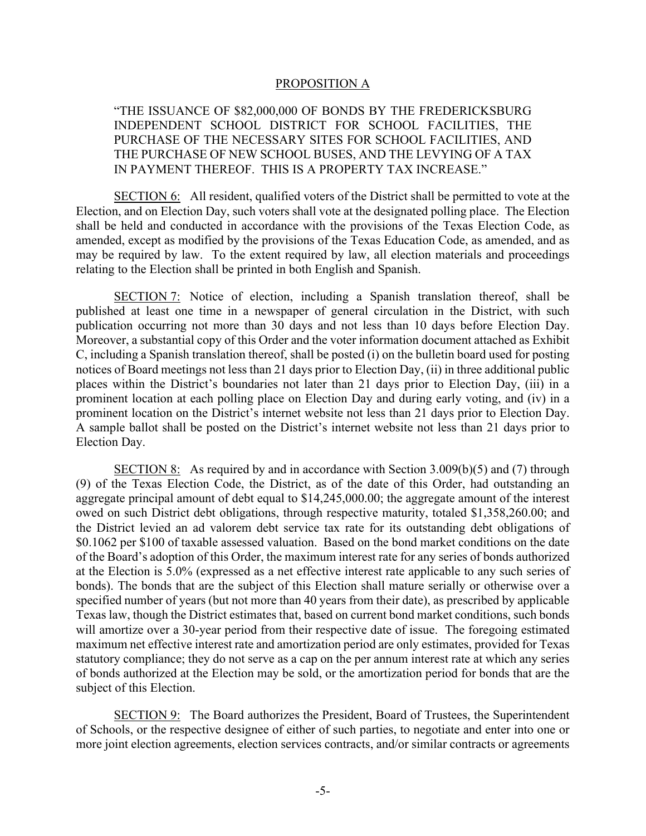#### PROPOSITION A

"THE ISSUANCE OF \$82,000,000 OF BONDS BY THE FREDERICKSBURG INDEPENDENT SCHOOL DISTRICT FOR SCHOOL FACILITIES, THE PURCHASE OF THE NECESSARY SITES FOR SCHOOL FACILITIES, AND THE PURCHASE OF NEW SCHOOL BUSES, AND THE LEVYING OF A TAX IN PAYMENT THEREOF. THIS IS A PROPERTY TAX INCREASE."

SECTION 6: All resident, qualified voters of the District shall be permitted to vote at the Election, and on Election Day, such voters shall vote at the designated polling place. The Election shall be held and conducted in accordance with the provisions of the Texas Election Code, as amended, except as modified by the provisions of the Texas Education Code, as amended, and as may be required by law. To the extent required by law, all election materials and proceedings relating to the Election shall be printed in both English and Spanish.

SECTION 7: Notice of election, including a Spanish translation thereof, shall be published at least one time in a newspaper of general circulation in the District, with such publication occurring not more than 30 days and not less than 10 days before Election Day. Moreover, a substantial copy of this Order and the voter information document attached as Exhibit C, including a Spanish translation thereof, shall be posted (i) on the bulletin board used for posting notices of Board meetings not less than 21 days prior to Election Day, (ii) in three additional public places within the District's boundaries not later than 21 days prior to Election Day, (iii) in a prominent location at each polling place on Election Day and during early voting, and (iv) in a prominent location on the District's internet website not less than 21 days prior to Election Day. A sample ballot shall be posted on the District's internet website not less than 21 days prior to Election Day.

SECTION 8: As required by and in accordance with Section 3.009(b)(5) and (7) through (9) of the Texas Election Code, the District, as of the date of this Order, had outstanding an aggregate principal amount of debt equal to \$14,245,000.00; the aggregate amount of the interest owed on such District debt obligations, through respective maturity, totaled \$1,358,260.00; and the District levied an ad valorem debt service tax rate for its outstanding debt obligations of \$0.1062 per \$100 of taxable assessed valuation. Based on the bond market conditions on the date of the Board's adoption of this Order, the maximum interest rate for any series of bonds authorized at the Election is 5.0% (expressed as a net effective interest rate applicable to any such series of bonds). The bonds that are the subject of this Election shall mature serially or otherwise over a specified number of years (but not more than 40 years from their date), as prescribed by applicable Texas law, though the District estimates that, based on current bond market conditions, such bonds will amortize over a 30-year period from their respective date of issue. The foregoing estimated maximum net effective interest rate and amortization period are only estimates, provided for Texas statutory compliance; they do not serve as a cap on the per annum interest rate at which any series of bonds authorized at the Election may be sold, or the amortization period for bonds that are the subject of this Election.

SECTION 9: The Board authorizes the President, Board of Trustees, the Superintendent of Schools, or the respective designee of either of such parties, to negotiate and enter into one or more joint election agreements, election services contracts, and/or similar contracts or agreements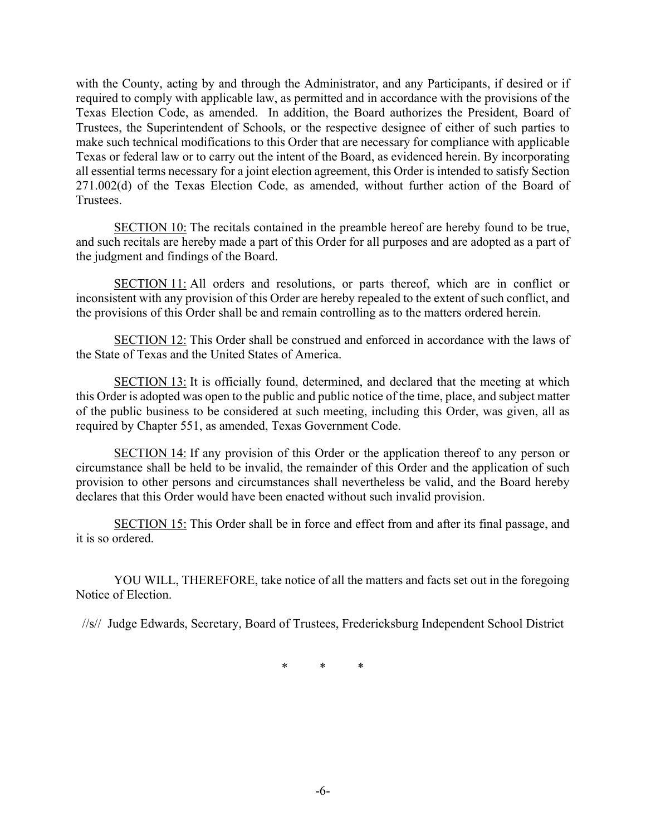with the County, acting by and through the Administrator, and any Participants, if desired or if required to comply with applicable law, as permitted and in accordance with the provisions of the Texas Election Code, as amended. In addition, the Board authorizes the President, Board of Trustees, the Superintendent of Schools, or the respective designee of either of such parties to make such technical modifications to this Order that are necessary for compliance with applicable Texas or federal law or to carry out the intent of the Board, as evidenced herein. By incorporating all essential terms necessary for a joint election agreement, this Order is intended to satisfy Section 271.002(d) of the Texas Election Code, as amended, without further action of the Board of Trustees.

SECTION 10: The recitals contained in the preamble hereof are hereby found to be true, and such recitals are hereby made a part of this Order for all purposes and are adopted as a part of the judgment and findings of the Board.

SECTION 11: All orders and resolutions, or parts thereof, which are in conflict or inconsistent with any provision of this Order are hereby repealed to the extent of such conflict, and the provisions of this Order shall be and remain controlling as to the matters ordered herein.

SECTION 12: This Order shall be construed and enforced in accordance with the laws of the State of Texas and the United States of America.

SECTION 13: It is officially found, determined, and declared that the meeting at which this Order is adopted was open to the public and public notice of the time, place, and subject matter of the public business to be considered at such meeting, including this Order, was given, all as required by Chapter 551, as amended, Texas Government Code.

SECTION 14: If any provision of this Order or the application thereof to any person or circumstance shall be held to be invalid, the remainder of this Order and the application of such provision to other persons and circumstances shall nevertheless be valid, and the Board hereby declares that this Order would have been enacted without such invalid provision.

SECTION 15: This Order shall be in force and effect from and after its final passage, and it is so ordered.

 YOU WILL, THEREFORE, take notice of all the matters and facts set out in the foregoing Notice of Election.

//s// Judge Edwards, Secretary, Board of Trustees, Fredericksburg Independent School District

\* \* \*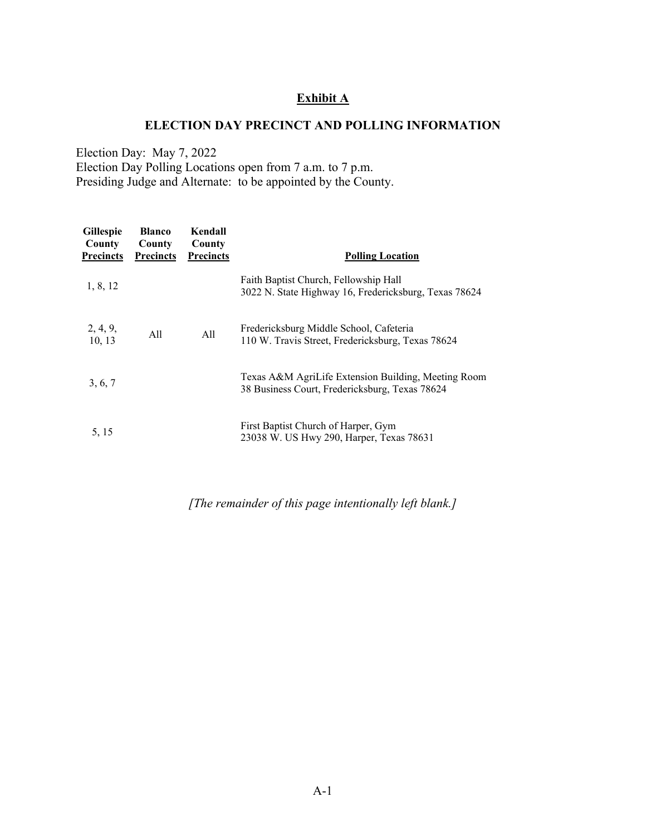# **Exhibit A**

## **ELECTION DAY PRECINCT AND POLLING INFORMATION**

Election Day: May 7, 2022 Election Day Polling Locations open from 7 a.m. to 7 p.m. Presiding Judge and Alternate: to be appointed by the County.

| <b>Gillespie</b><br><b>County</b><br><b>Precincts</b> | <b>Blanco</b><br>County<br><b>Precincts</b> | Kendall<br>County<br><b>Precincts</b> | <b>Polling Location</b>                                                                               |
|-------------------------------------------------------|---------------------------------------------|---------------------------------------|-------------------------------------------------------------------------------------------------------|
| 1, 8, 12                                              |                                             |                                       | Faith Baptist Church, Fellowship Hall<br>3022 N. State Highway 16, Fredericksburg, Texas 78624        |
| 2, 4, 9,<br>10, 13                                    | All                                         | All                                   | Fredericksburg Middle School, Cafeteria<br>110 W. Travis Street, Fredericksburg, Texas 78624          |
| 3, 6, 7                                               |                                             |                                       | Texas A&M AgriLife Extension Building, Meeting Room<br>38 Business Court, Fredericksburg, Texas 78624 |
| 5, 15                                                 |                                             |                                       | First Baptist Church of Harper, Gym<br>23038 W. US Hwy 290, Harper, Texas 78631                       |

*[The remainder of this page intentionally left blank.]*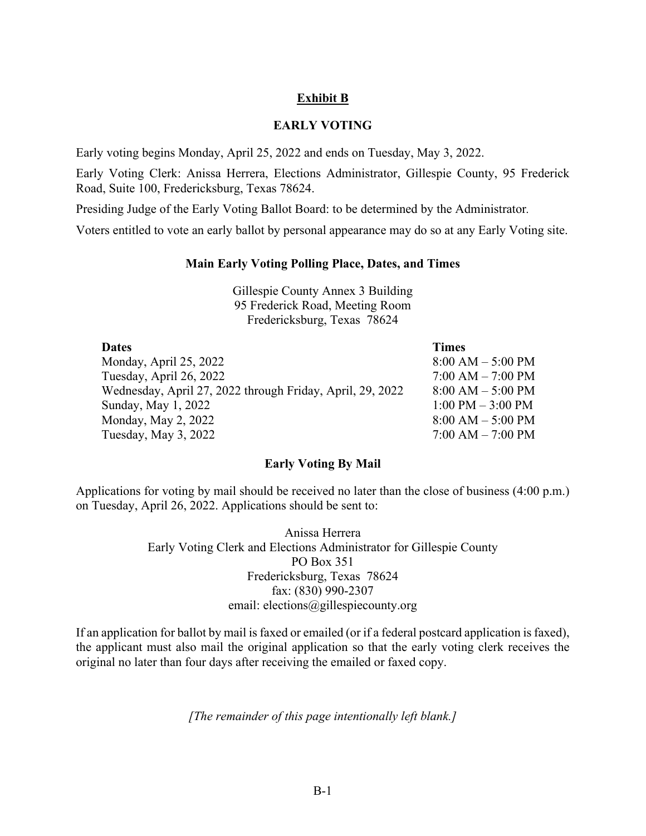# **Exhibit B**

### **EARLY VOTING**

Early voting begins Monday, April 25, 2022 and ends on Tuesday, May 3, 2022.

Early Voting Clerk: Anissa Herrera, Elections Administrator, Gillespie County, 95 Frederick Road, Suite 100, Fredericksburg, Texas 78624.

Presiding Judge of the Early Voting Ballot Board: to be determined by the Administrator*.*

Voters entitled to vote an early ballot by personal appearance may do so at any Early Voting site.

#### **Main Early Voting Polling Place, Dates, and Times**

Gillespie County Annex 3 Building 95 Frederick Road, Meeting Room Fredericksburg, Texas 78624

| <b>Dates</b>                                              | <b>Times</b>          |
|-----------------------------------------------------------|-----------------------|
| Monday, April 25, 2022                                    | $8:00 AM - 5:00 PM$   |
| Tuesday, April 26, 2022                                   | $7:00 AM - 7:00 PM$   |
| Wednesday, April 27, 2022 through Friday, April, 29, 2022 | $8:00 AM - 5:00 PM$   |
| Sunday, May 1, 2022                                       | $1:00$ PM $-3:00$ PM  |
| Monday, May 2, 2022                                       | $8:00$ AM $-$ 5:00 PM |
| Tuesday, May 3, 2022                                      | $7:00$ AM $- 7:00$ PM |

### **Early Voting By Mail**

Applications for voting by mail should be received no later than the close of business (4:00 p.m.) on Tuesday, April 26, 2022. Applications should be sent to:

> Anissa Herrera Early Voting Clerk and Elections Administrator for Gillespie County PO Box 351 Fredericksburg, Texas 78624 fax: (830) 990-2307 email: elections@gillespiecounty.org

If an application for ballot by mail is faxed or emailed (or if a federal postcard application is faxed), the applicant must also mail the original application so that the early voting clerk receives the original no later than four days after receiving the emailed or faxed copy.

*[The remainder of this page intentionally left blank.]*